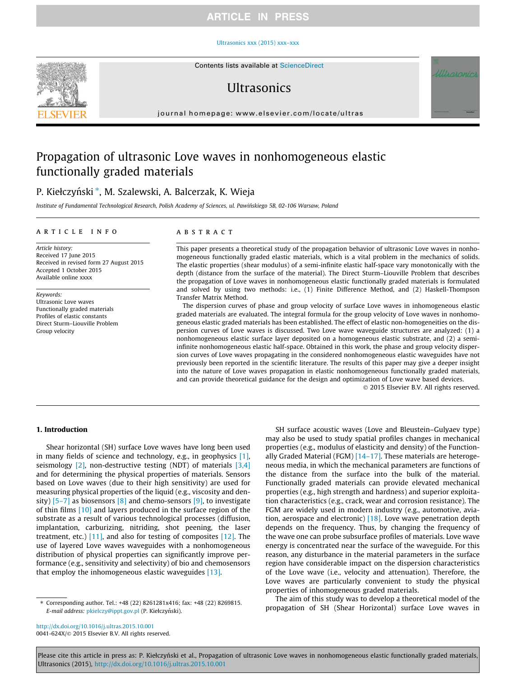# **ARTICLE IN PRESS**

#### [Ultrasonics xxx \(2015\) xxx–xxx](http://dx.doi.org/10.1016/j.ultras.2015.10.001)



# **I**IItrasonics

journal homepage: [www.elsevier.com/locate/ultras](http://www.elsevier.com/locate/ultras)

# Propagation of ultrasonic Love waves in nonhomogeneous elastic functionally graded materials

# P. Kiełczyński \*, M. Szalewski, A. Balcerzak, K. Wieja

Institute of Fundamental Technological Research, Polish Academy of Sciences, ul. Pawin´skiego 5B, 02-106 Warsaw, Poland

#### article info

Article history: Received 17 June 2015 Received in revised form 27 August 2015 Accepted 1 October 2015 Available online xxxx

Keywords: Ultrasonic Love waves Functionally graded materials Profiles of elastic constants Direct Sturm–Liouville Problem Group velocity

#### **ABSTRACT**

This paper presents a theoretical study of the propagation behavior of ultrasonic Love waves in nonhomogeneous functionally graded elastic materials, which is a vital problem in the mechanics of solids. The elastic properties (shear modulus) of a semi-infinite elastic half-space vary monotonically with the depth (distance from the surface of the material). The Direct Sturm–Liouville Problem that describes the propagation of Love waves in nonhomogeneous elastic functionally graded materials is formulated and solved by using two methods: i.e., (1) Finite Difference Method, and (2) Haskell-Thompson Transfer Matrix Method.

The dispersion curves of phase and group velocity of surface Love waves in inhomogeneous elastic graded materials are evaluated. The integral formula for the group velocity of Love waves in nonhomogeneous elastic graded materials has been established. The effect of elastic non-homogeneities on the dispersion curves of Love waves is discussed. Two Love wave waveguide structures are analyzed: (1) a nonhomogeneous elastic surface layer deposited on a homogeneous elastic substrate, and (2) a semiinfinite nonhomogeneous elastic half-space. Obtained in this work, the phase and group velocity dispersion curves of Love waves propagating in the considered nonhomogeneous elastic waveguides have not previously been reported in the scientific literature. The results of this paper may give a deeper insight into the nature of Love waves propagation in elastic nonhomogeneous functionally graded materials, and can provide theoretical guidance for the design and optimization of Love wave based devices.

2015 Elsevier B.V. All rights reserved.

## 1. Introduction

Shear horizontal (SH) surface Love waves have long been used in many fields of science and technology, e.g., in geophysics [\[1\],](#page-7-0) seismology  $[2]$ , non-destructive testing (NDT) of materials  $[3,4]$ and for determining the physical properties of materials. Sensors based on Love waves (due to their high sensitivity) are used for measuring physical properties of the liquid (e.g., viscosity and density)  $[5-7]$  as biosensors  $[8]$  and chemo-sensors  $[9]$ , to investigate of thin films [\[10\]](#page-7-0) and layers produced in the surface region of the substrate as a result of various technological processes (diffusion, implantation, carburizing, nitriding, shot peening, the laser treatment, etc.)  $[11]$ , and also for testing of composites  $[12]$ . The use of layered Love waves waveguides with a nonhomogeneous distribution of physical properties can significantly improve performance (e.g., sensitivity and selectivity) of bio and chemosensors that employ the inhomogeneous elastic waveguides [\[13\]](#page-7-0).

⇑ Corresponding author. Tel.: +48 (22) 8261281x416; fax: +48 (22) 8269815. E-mail address: [pkielczy@ippt.gov.pl](mailto:pkielczy@ippt.gov.pl) (P. Kiełczyński).

SH surface acoustic waves (Love and Bleustein–Gulyaev type) may also be used to study spatial profiles changes in mechanical properties (e.g., modulus of elasticity and density) of the Functionally Graded Material (FGM)  $[14-17]$ . These materials are heterogeneous media, in which the mechanical parameters are functions of the distance from the surface into the bulk of the material. Functionally graded materials can provide elevated mechanical properties (e.g., high strength and hardness) and superior exploitation characteristics (e.g., crack, wear and corrosion resistance). The FGM are widely used in modern industry (e.g., automotive, aviation, aerospace and electronic) [\[18\]](#page-7-0). Love wave penetration depth depends on the frequency. Thus, by changing the frequency of the wave one can probe subsurface profiles of materials. Love wave energy is concentrated near the surface of the waveguide. For this reason, any disturbance in the material parameters in the surface region have considerable impact on the dispersion characteristics of the Love wave (i.e., velocity and attenuation). Therefore, the Love waves are particularly convenient to study the physical properties of inhomogeneous graded materials.

The aim of this study was to develop a theoretical model of the propagation of SH (Shear Horizontal) surface Love waves in

<http://dx.doi.org/10.1016/j.ultras.2015.10.001> 0041-624X/@ 2015 Elsevier B.V. All rights reserved.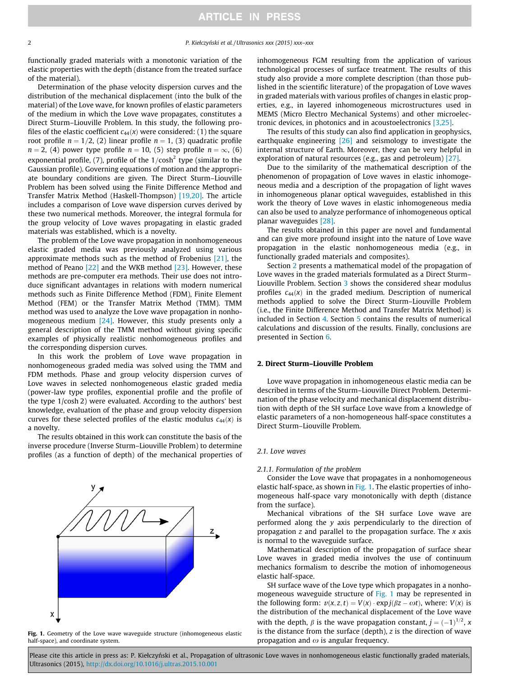functionally graded materials with a monotonic variation of the elastic properties with the depth (distance from the treated surface of the material).

Determination of the phase velocity dispersion curves and the distribution of the mechanical displacement (into the bulk of the material) of the Love wave, for known profiles of elastic parameters of the medium in which the Love wave propagates, constitutes a Direct Sturm–Liouville Problem. In this study, the following profiles of the elastic coefficient  $c_{44}(x)$  were considered: (1) the square root profile  $n = 1/2$ , (2) linear profile  $n = 1$ , (3) quadratic profile  $n = 2$ , (4) power type profile  $n = 10$ , (5) step profile  $n = \infty$ , (6) exponential profile, (7), profile of the  $1/cosh^2$  type (similar to the Gaussian profile). Governing equations of motion and the appropriate boundary conditions are given. The Direct Sturm–Liouville Problem has been solved using the Finite Difference Method and Transfer Matrix Method (Haskell-Thompson) [\[19,20\].](#page-7-0) The article includes a comparison of Love wave dispersion curves derived by these two numerical methods. Moreover, the integral formula for the group velocity of Love waves propagating in elastic graded materials was established, which is a novelty.

The problem of the Love wave propagation in nonhomogeneous elastic graded media was previously analyzed using various approximate methods such as the method of Frobenius [\[21\]](#page-7-0), the method of Peano [\[22\]](#page-7-0) and the WKB method [\[23\]](#page-7-0). However, these methods are pre-computer era methods. Their use does not introduce significant advantages in relations with modern numerical methods such as Finite Difference Method (FDM), Finite Element Method (FEM) or the Transfer Matrix Method (TMM). TMM method was used to analyze the Love wave propagation in nonhomogeneous medium [\[24\].](#page-7-0) However, this study presents only a general description of the TMM method without giving specific examples of physically realistic nonhomogeneous profiles and the corresponding dispersion curves.

In this work the problem of Love wave propagation in nonhomogeneous graded media was solved using the TMM and FDM methods. Phase and group velocity dispersion curves of Love waves in selected nonhomogeneous elastic graded media (power-law type profiles, exponential profile and the profile of the type 1/cosh 2) were evaluated. According to the authors' best knowledge, evaluation of the phase and group velocity dispersion curves for these selected profiles of the elastic modulus  $c_{44}(x)$  is a novelty.

The results obtained in this work can constitute the basis of the inverse procedure (Inverse Sturm–Liouville Problem) to determine profiles (as a function of depth) of the mechanical properties of



Fig. 1. Geometry of the Love wave waveguide structure (inhomogeneous elastic half-space), and coordinate system.

inhomogeneous FGM resulting from the application of various technological processes of surface treatment. The results of this study also provide a more complete description (than those published in the scientific literature) of the propagation of Love waves in graded materials with various profiles of changes in elastic properties, e.g., in layered inhomogeneous microstructures used in MEMS (Micro Electro Mechanical Systems) and other microelectronic devices, in photonics and in acoustoelectronics [\[3,25\]](#page-7-0).

The results of this study can also find application in geophysics, earthquake engineering [\[26\]](#page-7-0) and seismology to investigate the internal structure of Earth. Moreover, they can be very helpful in exploration of natural resources (e.g., gas and petroleum) [\[27\]](#page-7-0).

Due to the similarity of the mathematical description of the phenomenon of propagation of Love waves in elastic inhomogeneous media and a description of the propagation of light waves in inhomogeneous planar optical waveguides, established in this work the theory of Love waves in elastic inhomogeneous media can also be used to analyze performance of inhomogeneous optical planar waveguides [\[28\]](#page-7-0).

The results obtained in this paper are novel and fundamental and can give more profound insight into the nature of Love wave propagation in the elastic nonhomogeneous media (e.g., in functionally graded materials and composites).

Section 2 presents a mathematical model of the propagation of Love waves in the graded materials formulated as a Direct Sturm– Liouville Problem. Section [3](#page-2-0) shows the considered shear modulus profiles  $c_{44}(x)$  in the graded medium. Description of numerical methods applied to solve the Direct Sturm–Liouville Problem (i.e., the Finite Difference Method and Transfer Matrix Method) is included in Section [4.](#page-3-0) Section [5](#page-4-0) contains the results of numerical calculations and discussion of the results. Finally, conclusions are presented in Section [6.](#page-6-0)

## 2. Direct Sturm–Liouville Problem

Love wave propagation in inhomogeneous elastic media can be described in terms of the Sturm–Liouville Direct Problem. Determination of the phase velocity and mechanical displacement distribution with depth of the SH surface Love wave from a knowledge of elastic parameters of a non-homogeneous half-space constitutes a Direct Sturm–Liouville Problem.

## 2.1. Love waves

#### 2.1.1. Formulation of the problem

Consider the Love wave that propagates in a nonhomogeneous elastic half-space, as shown in Fig. 1. The elastic properties of inhomogeneous half-space vary monotonically with depth (distance from the surface).

Mechanical vibrations of the SH surface Love wave are performed along the y axis perpendicularly to the direction of propagation  $z$  and parallel to the propagation surface. The  $x$  axis is normal to the waveguide surface.

Mathematical description of the propagation of surface shear Love waves in graded media involves the use of continuum mechanics formalism to describe the motion of inhomogeneous elastic half-space.

SH surface wave of the Love type which propagates in a nonhomogeneous waveguide structure of Fig. 1 may be represented in the following form:  $v(x, z, t) = V(x) \cdot \exp(j(\beta z - \omega t))$ , where:  $V(x)$  is<br>the distribution of the mechanical displacement of the Love wave the distribution of the mechanical displacement of the Love wave with the depth,  $\beta$  is the wave propagation constant,  $j = (-1)^{1/2}$ ,  $\alpha$  is the distance from the surface (depth), z is the direction of wave is the distance from the surface (depth),  $z$  is the direction of wave propagation and  $\omega$  is angular frequency.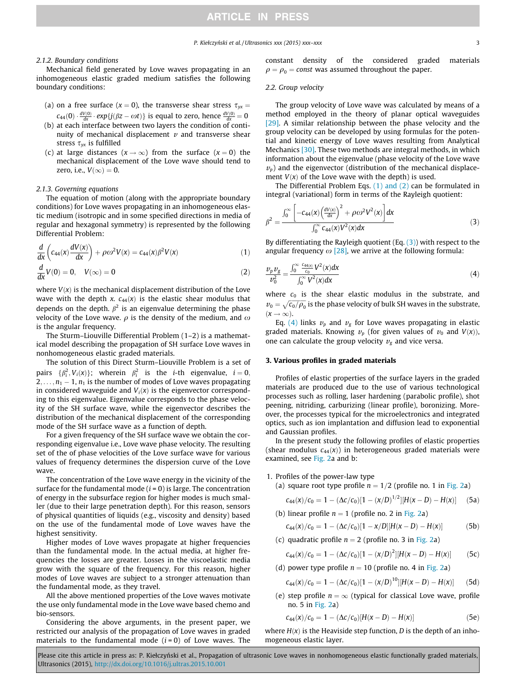#### <span id="page-2-0"></span>2.1.2. Boundary conditions

Mechanical field generated by Love waves propagating in an inhomogeneous elastic graded medium satisfies the following boundary conditions:

- (a) on a free surface ( $x = 0$ ), the transverse shear stress  $\tau_{yx} =$  $c_{44}(0) \cdot \frac{dV(0)}{dx} \cdot exp\{j(\beta z - \omega t)\}\)$  is equal to zero, hence  $\frac{dV(0)}{dx} = 0$
- (b) at each interface between two layers the condition of continuity of mechanical displacement  $\nu$  and transverse shear stress  $\tau_{vx}$  is fulfilled
- (c) at large distances  $(x \rightarrow \infty)$  from the surface  $(x = 0)$  the mechanical displacement of the Love wave should tend to zero, i.e.,  $V(\infty) = 0$ .

## 2.1.3. Governing equations

The equation of motion (along with the appropriate boundary conditions) for Love waves propagating in an inhomogeneous elastic medium (isotropic and in some specified directions in media of regular and hexagonal symmetry) is represented by the following Differential Problem:

$$
\frac{d}{dx}\left(c_{44}(x)\frac{dV(x)}{dx}\right) + \rho\omega^2 V(x) = c_{44}(x)\beta^2 V(x) \tag{1}
$$

$$
\frac{d}{dx}V(0) = 0, \quad V(\infty) = 0
$$
\n(2)

where  $V(x)$  is the mechanical displacement distribution of the Love wave with the depth x.  $c_{44}(x)$  is the elastic shear modulus that depends on the depth.  $\beta^2$  is an eigenvalue determining the phase velocity of the Love wave.  $\rho$  is the density of the medium, and  $\omega$ is the angular frequency.

The Sturm–Liouville Differential Problem (1–2) is a mathematical model describing the propagation of SH surface Love waves in nonhomogeneous elastic graded materials.

The solution of this Direct Sturm–Liouville Problem is a set of pairs  $\{\beta_i^2, V_i(x)\}$ ; wherein  $\beta_i^2$  is the *i*-th eigenvalue,  $i = 0$ ,<br>
2, a, 1, is the number of modes of love waves proporting  $2, \ldots, n_1 - 1, n_1$  is the number of modes of Love waves propagating in considered waveguide and  $V_i(x)$  is the eigenvector corresponding to this eigenvalue. Eigenvalue corresponds to the phase velocity of the SH surface wave, while the eigenvector describes the distribution of the mechanical displacement of the corresponding mode of the SH surface wave as a function of depth.

For a given frequency of the SH surface wave we obtain the corresponding eigenvalue i.e., Love wave phase velocity. The resulting set of the of phase velocities of the Love surface wave for various values of frequency determines the dispersion curve of the Love wave.

The concentration of the Love wave energy in the vicinity of the surface for the fundamental mode  $(i = 0)$  is large. The concentration of energy in the subsurface region for higher modes is much smaller (due to their large penetration depth). For this reason, sensors of physical quantities of liquids (e.g., viscosity and density) based on the use of the fundamental mode of Love waves have the highest sensitivity.

Higher modes of Love waves propagate at higher frequencies than the fundamental mode. In the actual media, at higher frequencies the losses are greater. Losses in the viscoelastic media grow with the square of the frequency. For this reason, higher modes of Love waves are subject to a stronger attenuation than the fundamental mode, as they travel.

All the above mentioned properties of the Love waves motivate the use only fundamental mode in the Love wave based chemo and bio-sensors.

Considering the above arguments, in the present paper, we restricted our analysis of the propagation of Love waves in graded materials to the fundamental mode  $(i = 0)$  of Love waves. The

constant density of the considered graded materials  $\rho = \rho_0$  = const was assumed throughout the paper.

#### 2.2. Group velocity

The group velocity of Love wave was calculated by means of a method employed in the theory of planar optical waveguides [\[29\]](#page-7-0). A similar relationship between the phase velocity and the group velocity can be developed by using formulas for the potential and kinetic energy of Love waves resulting from Analytical Mechanics [\[30\].](#page-7-0) These two methods are integral methods, in which information about the eigenvalue (phase velocity of the Love wave  $v<sub>p</sub>$ ) and the eigenvector (distribution of the mechanical displacement  $V(x)$  of the Love wave with the depth) is used.

The Differential Problem Eqs. (1) and (2) can be formulated in integral (variational) form in terms of the Rayleigh quotient:

$$
\beta^{2} = \frac{\int_{0}^{\infty} \left[ -c_{44}(x) \left( \frac{dV(x)}{dx} \right)^{2} + \rho \omega^{2} V^{2}(x) \right] dx}{\int_{0}^{\infty} c_{44}(x) V^{2}(x) dx}
$$
(3)

By differentiating the Rayleigh quotient (Eq.  $(3)$ ) with respect to the angular frequency  $\omega$  [\[28\],](#page-7-0) we arrive at the following formula:

$$
\frac{\nu_p \nu_g}{\nu_0^2} = \frac{\int_0^\infty \frac{c_{44(x)}}{c_0} V^2(x) dx}{\int_0^\infty V^2(x) dx}
$$
\n(4)

where  $c_0$  is the shear elastic modulus in the substrate, and  $v_0=\sqrt{c_0/\rho_0}$  is the phase velocity of bulk SH waves in the substrate,<br> $(v_0, \rho_0)$  $(x \rightarrow \infty)$ .

Eq. (4) links  $v_p$  and  $v_g$  for Love waves propagating in elastic graded materials. Knowing  $v_p$  (for given values of  $v_0$  and  $V(x)$ ), one can calculate the group velocity  $v_g$  and vice versa.

#### 3. Various profiles in graded materials

Profiles of elastic properties of the surface layers in the graded materials are produced due to the use of various technological processes such as rolling, laser hardening (parabolic profile), shot peening, nitriding, carburizing (linear profile), boronizing. Moreover, the processes typical for the microelectronics and integrated optics, such as ion implantation and diffusion lead to exponential and Gaussian profiles.

In the present study the following profiles of elastic properties (shear modulus  $c_{44}(x)$ ) in heterogeneous graded materials were examined, see [Fig. 2](#page-3-0)a and b:

- 1. Profiles of the power-law type
	- (a) square root type profile  $n = 1/2$  (profile no. 1 in [Fig. 2](#page-3-0)a)

$$
c_{44}(x)/c_0 = 1 - (\Delta c/c_0)[1 - (x/D)^{1/2}][H(x - D) - H(x)] \quad (5a)
$$

(b) linear profile  $n = 1$  (profile no. 2 in [Fig. 2a](#page-3-0))

$$
c_{44}(x)/c_0 = 1 - (\Delta c/c_0)[1 - x/D][H(x - D) - H(x)] \tag{5b}
$$

(c) quadratic profile  $n = 2$  (profile no. 3 in [Fig. 2a](#page-3-0))

$$
c_{44}(x)/c_0 = 1 - (\Delta c/c_0)[1 - (x/D)^2][H(x - D) - H(x)] \qquad (5c)
$$

(d) power type profile  $n = 10$  (profile no. 4 in [Fig. 2a](#page-3-0))

$$
c_{44}(x)/c_0 = 1 - (\Delta c/c_0)[1 - (x/D)^{10}][H(x - D) - H(x)] \qquad (5d)
$$

(e) step profile  $n = \infty$  (typical for classical Love wave, profile no. 5 in [Fig. 2a](#page-3-0))

$$
c_{44}(x)/c_0 = 1 - (\Delta c/c_0)[H(x - D) - H(x)] \tag{5e}
$$

where  $H(x)$  is the Heaviside step function, D is the depth of an inhomogeneous elastic layer.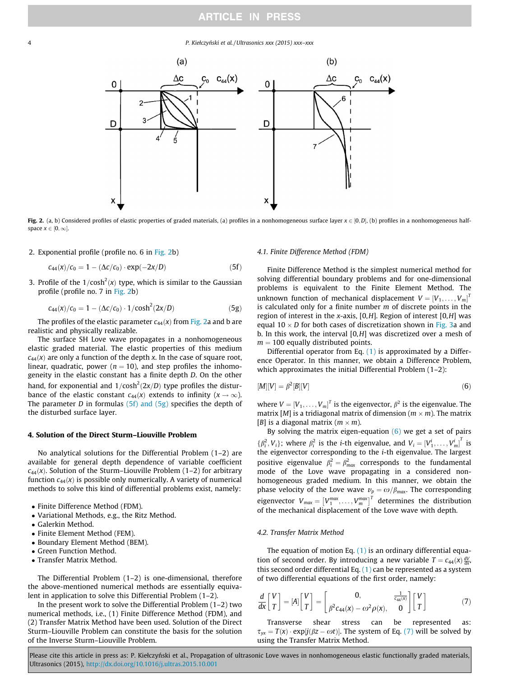<span id="page-3-0"></span>4 P. Kiełczyn´ski et al. / Ultrasonics xxx (2015) xxx–xxx



Fig. 2. (a, b) Considered profiles of elastic properties of graded materials, (a) profiles in a nonhomogeneous surface layer  $x \in [0, D]$ , (b) profiles in a nonhomogeneous halfspace  $x \in [0, \infty]$ .

2. Exponential profile (profile no. 6 in Fig. 2b)

$$
c_{44}(x)/c_0 = 1 - (\Delta c/c_0) \cdot \exp(-2x/D) \tag{5f}
$$

3. Profile of the  $1/cosh^2(x)$  type, which is similar to the Gaussian profile (profile no  $\overline{z}$  in Fig. 2b) profile (profile no. 7 in Fig. 2b)

$$
c_{44}(x)/c_0 = 1 - (\Delta c/c_0) \cdot 1/\cosh^2(2x/D)
$$
 (5g)

The profiles of the elastic parameter  $c_{44}(x)$  from Fig. 2a and b are realistic and physically realizable.

The surface SH Love wave propagates in a nonhomogeneous elastic graded material. The elastic properties of this medium  $c_{44}(x)$  are only a function of the depth x. In the case of square root, linear, quadratic, power ( $n = 10$ ), and step profiles the inhomogeneity in the elastic constant has a finite depth D. On the other hand, for exponential and  $1/cosh^2(2x/D)$  type profiles the distur-<br>bance of the elastic constant  $c_{\alpha}(x)$  extends to infinity  $(x \to \infty)$ . bance of the elastic constant  $c_{44}(x)$  extends to infinity ( $x \rightarrow \infty$ ). The parameter *D* in formulas  $(5f)$  and  $(5g)$  specifies the depth of the disturbed surface layer.

# 4. Solution of the Direct Sturm–Liouville Problem

No analytical solutions for the Differential Problem (1–2) are available for general depth dependence of variable coefficient  $c_{44}(x)$ . Solution of the Sturm–Liouville Problem (1–2) for arbitrary function  $c_{44}(x)$  is possible only numerically. A variety of numerical methods to solve this kind of differential problems exist, namely:

- Finite Difference Method (FDM).
- Variational Methods, e.g., the Ritz Method.
- Galerkin Method.<br>• Finite Flement M
- Finite Element Method (FEM).<br>• Boundary Element Method (B)
- Boundary Element Method (BEM).
- Green Function Method.
- Transfer Matrix Method.

The Differential Problem (1–2) is one-dimensional, therefore the above-mentioned numerical methods are essentially equivalent in application to solve this Differential Problem (1–2).

In the present work to solve the Differential Problem (1–2) two numerical methods, i.e., (1) Finite Difference Method (FDM), and (2) Transfer Matrix Method have been used. Solution of the Direct Sturm–Liouville Problem can constitute the basis for the solution of the Inverse Sturm–Liouville Problem.

#### 4.1. Finite Difference Method (FDM)

Finite Difference Method is the simplest numerical method for solving differential boundary problems and for one-dimensional problems is equivalent to the Finite Element Method. The unknown function of mechanical displacement  $V = [V_1, \dots, V_m]^T$ <br>is calculated only for a finite number m of discrete points in the is calculated only for a finite number  $m$  of discrete points in the region of interest in the x-axis,  $[0,H]$ . Region of interest  $[0,H]$  was equal 10  $\times$  D for both cases of discretization shown in [Fig. 3a](#page-4-0) and b. In this work, the interval [0,H] was discretized over a mesh of  $m = 100$  equally distributed points.

Differential operator from Eq. [\(1\)](#page-2-0) is approximated by a Difference Operator. In this manner, we obtain a Difference Problem, which approximates the initial Differential Problem (1–2):

$$
[M][V] = \beta^2[B][V] \tag{6}
$$

where  $V = [V_1, \ldots, V_m]^T$  is the eigenvector,  $\beta^2$  is the eigenvalue. The matrix  $[M]$  is a tridian popularity of dimension  $(m \times m)$ . The matrix matrix [M] is a tridiagonal matrix of dimension ( $m \times m$ ). The matrix [B] is a diagonal matrix  $(m \times m)$ .

By solving the matrix eigen-equation  $(6)$  we get a set of pairs  $\{\beta_i^2, V_i\}$ ; where  $\beta_i^2$  is the *i*-th eigenvalue, and  $V_i = [V_1^i, \dots, V_m^i]^T$  is the ignormator corresponding to the *i*-th eigenvalue. The largest  $\{p_i, v_i\}$ , where  $p_i$  is the *t* in eigenvalue, and  $v_i = [v_1, \dots, v_m]$  is<br>the eigenvector corresponding to the *i*-th eigenvalue. The largest positive eigenvalue  $\beta_i^2 = \beta_{max}^2$  corresponds to the fundamental<br>mode of the Love wave propositing in a considered nonmode of the Love wave propagating in a considered nonhomogeneous graded medium. In this manner, we obtain the phase velocity of the Love wave  $v_p = \omega/\beta_{max}$ . The corresponding eigenvector  $V_{max} = [V_1^{max}, \ldots, V_m^{max}]^T$  determines the distribution<br>of the machanical displacement of the Lave wave with donth of the mechanical displacement of the Love wave with depth.

# 4.2. Transfer Matrix Method

The equation of motion Eq.  $(1)$  is an ordinary differential equation of second order. By introducing a new variable  $T = c_{44}(x) \frac{dV}{dx}$ <br>this second order differential Eq. (1) can be represented as a system this second order differential Eq.  $(1)$  can be represented as a system of two differential equations of the first order, namely:

$$
\frac{d}{dx}\begin{bmatrix} V \\ T \end{bmatrix} = [A]\begin{bmatrix} V \\ T \end{bmatrix} = \begin{bmatrix} 0, & \frac{1}{c_{44}(x)} \\ \beta^2 c_{44}(x) - \omega^2 \rho(x), & 0 \end{bmatrix} \begin{bmatrix} V \\ T \end{bmatrix}
$$
(7)

Transverse shear stress can be represented as:  $\tau_{yx} = T(x) \cdot \exp[j(\beta z - \omega t)]$ . The system of Eq. (7) will be solved by using the Transfer Matrix Method using the Transfer Matrix Method.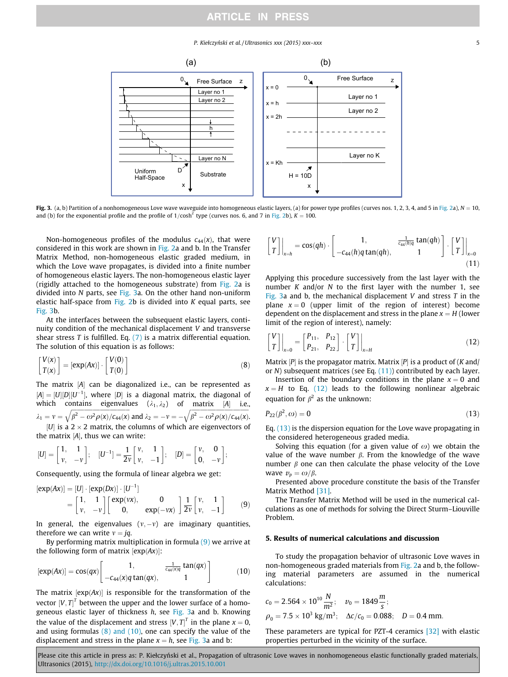# **ARTICLE IN PRESS**

P. Kiełczyński et al. / Ultrasonics xxx (2015) xxx–xxx 5

<span id="page-4-0"></span>

Fig. 3. (a, b) Partition of a nonhomogeneous Love wave waveguide into homogeneous elastic layers, (a) for power type profiles (curves nos. 1, 2, 3, 4, and 5 in [Fig. 2](#page-3-0)a),  $N = 10$ , and (b) for the exponential profile and the profile of  $1/cosh^2$  type (curves nos. 6, and 7 in [Fig. 2](#page-3-0)b), K = 100.

Non-homogeneous profiles of the modulus  $c_{44}(x)$ , that were considered in this work are shown in [Fig. 2a](#page-3-0) and b. In the Transfer Matrix Method, non-homogeneous elastic graded medium, in which the Love wave propagates, is divided into a finite number of homogeneous elastic layers. The non-homogeneous elastic layer (rigidly attached to the homogeneous substrate) from [Fig. 2](#page-3-0)a is divided into N parts, see Fig. 3a. On the other hand non-uniform elastic half-space from [Fig. 2b](#page-3-0) is divided into  $K$  equal parts, see Fig. 3b.

At the interfaces between the subsequent elastic layers, continuity condition of the mechanical displacement V and transverse shear stress T is fulfilled. Eq.  $(7)$  is a matrix differential equation. The solution of this equation is as follows:

$$
\begin{bmatrix} V(x) \\ T(x) \end{bmatrix} = \left[ \exp(Ax) \right] \cdot \begin{bmatrix} V(0) \\ T(0) \end{bmatrix}
$$
 (8)

The matrix  $[A]$  can be diagonalized i.e., can be represented as  $[A] = [U][D][U^{-1}]$ , where  $[D]$  is a diagonal matrix, the diagonal of which contains eigenvalues  $(i, j_2)$  of watrix  $[i]$  i.e. which contains eigenvalues  $(\lambda_1, \lambda_2)$  of matrix [A] i.e.,  $\lambda_1 = v = \sqrt{\beta^2 - \omega^2 \rho(x)/c_{44}(x)}$  and  $\lambda_2 = -v = -\sqrt{\beta^2 - \omega^2 \rho(x)/c_{44}(x)}$ .  $|U|$  is a 2  $\times$  2 matrix, the columns of which are eigenvectors of the matrix  $[A]$ , thus we can write:

$$
[U] = \begin{bmatrix} 1, & 1 \\ \nu, & -\nu \end{bmatrix}; \quad [U^{-1}] = \frac{1}{2\nu} \begin{bmatrix} \nu, & 1 \\ \nu, & -1 \end{bmatrix}; \quad [D] = \begin{bmatrix} \nu, & 0 \\ 0, & -\nu \end{bmatrix};
$$

Consequently, using the formula of linear algebra we get:

$$
[exp(Ax)] = [U] \cdot [exp(Dx)] \cdot [U^{-1}]
$$
  
=  $\begin{bmatrix} 1, & 1 \\ v, & -v \end{bmatrix} \begin{bmatrix} exp(vx), & 0 \\ 0, & exp(-vx) \end{bmatrix} \frac{1}{2v} \begin{bmatrix} v, & 1 \\ v, & -1 \end{bmatrix}$  (9)

In general, the eigenvalues  $(v, -v)$  are imaginary quantities, therefore we can write  $v = jq$ .

By performing matrix multiplication in formula (9) we arrive at the following form of matrix  $[exp(Ax)]$ :

$$
[exp(Ax)] = cos(qx) \begin{bmatrix} 1, & \frac{1}{c_{44}(x)q} tan(qx) \\ -c_{44}(x)q tan(qx), & 1 \end{bmatrix}
$$
 (10)

The matrix  $[exp(Ax)]$  is responsible for the transformation of the vector  $[V, T]^T$  between the upper and the lower surface of a homo-<br>geneeves elastic layer of thickness h, see Fig. 32, and b. Knowing geneous elastic layer of thickness h, see Fig. 3a and b. Knowing the value of the displacement and stress  $[V, T]^T$  in the plane  $x = 0$ ,<br>and using formulas (8) and (10), one can specify the value of the and using formulas  $(8)$  and  $(10)$ , one can specify the value of the displacement and stress in the plane  $x = h$ , see Fig. 3a and b:

$$
\begin{bmatrix} V \\ T \end{bmatrix}\Big|_{x=h} = \cos(qh) \cdot \begin{bmatrix} 1, & \frac{1}{c_{44}(h)q} \tan(qh) \\ -c_{44}(h)q \tan(qh), & 1 \end{bmatrix} \cdot \begin{bmatrix} V \\ T \end{bmatrix}\Big|_{x=0}
$$
\n(11)

Applying this procedure successively from the last layer with the number  $K$  and/or  $N$  to the first layer with the number 1, see Fig. 3a and b, the mechanical displacement V and stress  $T$  in the plane  $x = 0$  (upper limit of the region of interest) become dependent on the displacement and stress in the plane  $x = H$  (lower limit of the region of interest), namely:

$$
\begin{bmatrix} V \\ T \end{bmatrix}\Big|_{x=0} = \begin{bmatrix} P_{11}, & P_{12} \\ P_{21}, & P_{22} \end{bmatrix} \cdot \begin{bmatrix} V \\ T \end{bmatrix}\Big|_{x=H} \tag{12}
$$

Matrix  $[P]$  is the propagator matrix. Matrix  $[P]$  is a product of (K and) or  $N$ ) subsequent matrices (see Eq.  $(11)$ ) contributed by each layer.

Insertion of the boundary conditions in the plane  $x = 0$  and  $x = H$  to Eq. (12) leads to the following nonlinear algebraic equation for  $\beta^2$  as the unknown:

$$
P_{22}(\beta^2, \omega) = 0 \tag{13}
$$

Eq. (13) is the dispersion equation for the Love wave propagating in the considered heterogeneous graded media.

Solving this equation (for a given value of  $\omega$ ) we obtain the value of the wave number  $\beta$ . From the knowledge of the wave number  $\beta$  one can then calculate the phase velocity of the Love wave  $v_n = \omega/\beta$ .

Presented above procedure constitute the basis of the Transfer Matrix Method [\[31\].](#page-7-0)

The Transfer Matrix Method will be used in the numerical calculations as one of methods for solving the Direct Sturm–Liouville Problem.

#### 5. Results of numerical calculations and discussion

To study the propagation behavior of ultrasonic Love waves in non-homogeneous graded materials from [Fig. 2a](#page-3-0) and b, the following material parameters are assumed in the numerical calculations:

$$
c_0 = 2.564 \times 10^{10} \frac{N}{m^2};
$$
  $v_0 = 1849 \frac{m}{s};$   
\n $\rho_0 = 7.5 \times 10^3 \text{ kg/m}^3;$   $\Delta c/c_0 = 0.088;$   $D = 0.4 \text{ mm}.$ 

These parameters are typical for PZT-4 ceramics [\[32\]](#page-7-0) with elastic properties perturbed in the vicinity of the surface.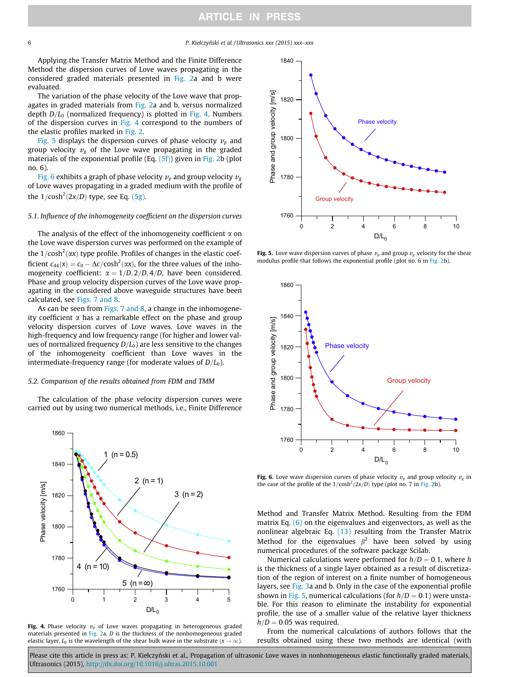<span id="page-5-0"></span>6 P. Kiełczyn´ski et al. / Ultrasonics xxx (2015) xxx–xxx

Applying the Transfer Matrix Method and the Finite Difference Method the dispersion curves of Love waves propagating in the considered graded materials presented in [Fig. 2](#page-3-0)a and b were evaluated.

The variation of the phase velocity of the Love wave that propagates in graded materials from [Fig. 2a](#page-3-0) and b, versus normalized depth  $D/L_0$  (normalized frequency) is plotted in Fig. 4. Numbers of the dispersion curves in Fig. 4 correspond to the numbers of the elastic profiles marked in [Fig. 2](#page-3-0).

Fig. 5 displays the dispersion curves of phase velocity  $v_p$  and group velocity  $v<sub>g</sub>$  of the Love wave propagating in the graded materials of the exponential profile (Eq. [\(5f\)\)](#page-3-0) given in [Fig. 2](#page-3-0)b (plot no. 6).

Fig. 6 exhibits a graph of phase velocity  $v_p$  and group velocity  $v_g$ of Love waves propagating in a graded medium with the profile of the  $1/cosh<sup>2</sup>(2x/D)$  type, see Eq. [\(5g\).](#page-3-0)

#### 5.1. Influence of the inhomogeneity coefficient on the dispersion curves

The analysis of the effect of the inhomogeneity coefficient  $\alpha$  on the Love wave dispersion curves was performed on the example of the 1/cosh<sup>2</sup>( $\alpha$ x) type profile. Profiles of changes in the elastic coefficient  $c_{44}(x) = c_0 - \Delta c / \cosh^2(\alpha x)$ , for the three values of the inho-<br>mogeneity coefficient:  $\alpha = 1/D$ ,  $2/D$ ,  $A/D$ , have been considered mogeneity coefficient:  $\alpha = 1/D$ ,  $2/D$ ,  $4/D$ , have been considered. Phase and group velocity dispersion curves of the Love wave propagating in the considered above waveguide structures have been calculated, see [Figs. 7 and 8.](#page-6-0)

As can be seen from [Figs. 7 and 8,](#page-6-0) a change in the inhomogeneity coefficient  $\alpha$  has a remarkable effect on the phase and group velocity dispersion curves of Love waves. Love waves in the high-frequency and low frequency range (for higher and lower values of normalized frequency  $D/L_0$ ) are less sensitive to the changes of the inhomogeneity coefficient than Love waves in the intermediate-frequency range (for moderate values of  $D/L_0$ ).

#### 5.2. Comparison of the results obtained from FDM and TMM

The calculation of the phase velocity dispersion curves were carried out by using two numerical methods, i.e., Finite Difference



Fig. 4. Phase velocity  $v_p$  of Love waves propagating in heterogeneous graded materials presented in [Fig. 2](#page-3-0)a. D is the thickness of the nonhomogeneous graded elastic layer,  $L_0$  is the wavelength of the shear bulk wave in the substrate  $(x \rightarrow \infty)$ .



Fig. 5. Love wave dispersion curves of phase  $v_p$  and group  $v_g$  velocity for the shear modulus profile that follows the exponential profile (plot no. 6 in [Fig. 2b](#page-3-0)).



Fig. 6. Love wave dispersion curves of phase velocity  $v_p$  and group velocity  $v_g$  in the case of the profile of the  $1/cosh^2(2x/D)$  type (plot no. 7 in [Fig. 2b](#page-3-0)).

Method and Transfer Matrix Method. Resulting from the FDM matrix Eq. [\(6\)](#page-3-0) on the eigenvalues and eigenvectors, as well as the nonlinear algebraic Eq. [\(13\)](#page-4-0) resulting from the Transfer Matrix Method for the eigenvalues  $\beta^2$  have been solved by using numerical procedures of the software package Scilab.

Numerical calculations were performed for  $h/D = 0.1$ , where h is the thickness of a single layer obtained as a result of discretization of the region of interest on a finite number of homogeneous layers, see [Fig. 3a](#page-4-0) and b. Only in the case of the exponential profile shown in Fig. 5, numerical calculations (for  $h/D = 0.1$ ) were unstable. For this reason to eliminate the instability for exponential profile, the use of a smaller value of the relative layer thickness  $h/D = 0.05$  was required.

From the numerical calculations of authors follows that the results obtained using these two methods are identical (with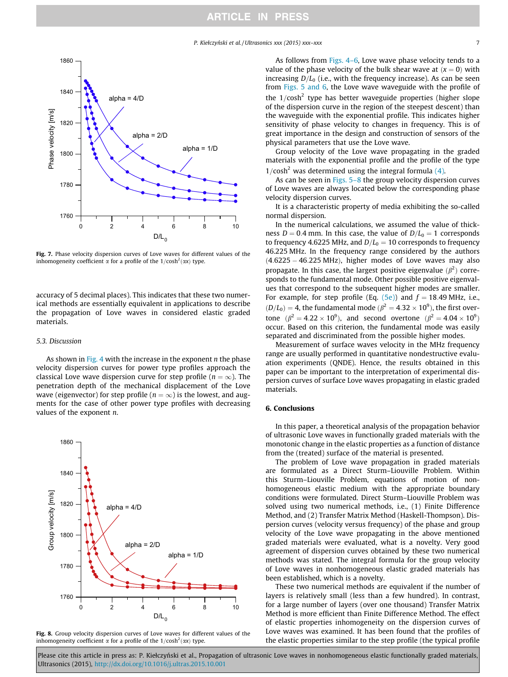P. Kiełczyński et al. / Ultrasonics xxx (2015) xxx–xxx 7 7

<span id="page-6-0"></span>

Fig. 7. Phase velocity dispersion curves of Love waves for different values of the inhomogeneity coefficient  $\alpha$  for a profile of the  $1/cosh^2(\alpha x)$  type.

accuracy of 5 decimal places). This indicates that these two numerical methods are essentially equivalent in applications to describe the propagation of Love waves in considered elastic graded materials.

# 5.3. Discussion

As shown in [Fig. 4](#page-5-0) with the increase in the exponent  $n$  the phase velocity dispersion curves for power type profiles approach the classical Love wave dispersion curve for step profile ( $n = \infty$ ). The penetration depth of the mechanical displacement of the Love wave (eigenvector) for step profile ( $n = \infty$ ) is the lowest, and augments for the case of other power type profiles with decreasing values of the exponent  $n$ .



Fig. 8. Group velocity dispersion curves of Love waves for different values of the inhomogeneity coefficient  $\alpha$  for a profile of the  $1/cosh^2(\alpha x)$  type.

As follows from Figs. 4–6. Love wave phase velocity tends to a value of the phase velocity of the bulk shear wave at  $(x = 0)$  with increasing  $D/L_0$  (i.e., with the frequency increase). As can be seen from [Figs. 5 and 6,](#page-5-0) the Love wave waveguide with the profile of the  $1/cosh^2$  type has better waveguide properties (higher slope of the dispersion curve in the region of the steepest descent) than the waveguide with the exponential profile. This indicates higher sensitivity of phase velocity to changes in frequency. This is of great importance in the design and construction of sensors of the physical parameters that use the Love wave.

Group velocity of the Love wave propagating in the graded materials with the exponential profile and the profile of the type 1/cosh<sup>2</sup> was determined using the integral formula [\(4\).](#page-2-0)

As can be seen in [Figs. 5–8](#page-5-0) the group velocity dispersion curves of Love waves are always located below the corresponding phase velocity dispersion curves.

It is a characteristic property of media exhibiting the so-called normal dispersion.

In the numerical calculations, we assumed the value of thickness  $D = 0.4$  mm. In this case, the value of  $D/L_0 = 1$  corresponds to frequency 4.6225 MHz, and  $D/L_0 = 10$  corresponds to frequency 46.225 MHz. In the frequency range considered by the authors  $(4.6225 - 46.225 \text{ MHz})$ , higher modes of Love waves may also propagate. In this case, the largest positive eigenvalue  $(\beta^2)$  corre-<br>sponds to the fundamental mode. Other possible positive eigenvalsponds to the fundamental mode. Other possible positive eigenvalues that correspond to the subsequent higher modes are smaller. For example, for step profile (Eq.  $(5e)$ ) and  $f = 18.49$  MHz, i.e.,  $(D/L_0) = 4$ , the fundamental mode  $(\beta^2 = 4.32 \times 10^9)$ , the first over-<br> $\frac{(\beta^2 - 4.32 \times 10^9)}{(\beta^2 - 4.32 \times 10^9)}$ tone  $(\beta^2 = 4.22 \times 10^9)$ , and second overtone  $(\beta^2 = 4.04 \times 10^9)$ Þ occur. Based on this criterion, the fundamental mode was easily separated and discriminated from the possible higher modes.

Measurement of surface waves velocity in the MHz frequency range are usually performed in quantitative nondestructive evaluation experiments (QNDE). Hence, the results obtained in this paper can be important to the interpretation of experimental dispersion curves of surface Love waves propagating in elastic graded materials.

### 6. Conclusions

In this paper, a theoretical analysis of the propagation behavior of ultrasonic Love waves in functionally graded materials with the monotonic change in the elastic properties as a function of distance from the (treated) surface of the material is presented.

The problem of Love wave propagation in graded materials are formulated as a Direct Sturm–Liouville Problem. Within this Sturm–Liouville Problem, equations of motion of nonhomogeneous elastic medium with the appropriate boundary conditions were formulated. Direct Sturm–Liouville Problem was solved using two numerical methods, i.e., (1) Finite Difference Method, and (2) Transfer Matrix Method (Haskell-Thompson). Dispersion curves (velocity versus frequency) of the phase and group velocity of the Love wave propagating in the above mentioned graded materials were evaluated, what is a novelty. Very good agreement of dispersion curves obtained by these two numerical methods was stated. The integral formula for the group velocity of Love waves in nonhomogeneous elastic graded materials has been established, which is a novelty.

These two numerical methods are equivalent if the number of layers is relatively small (less than a few hundred). In contrast, for a large number of layers (over one thousand) Transfer Matrix Method is more efficient than Finite Difference Method. The effect of elastic properties inhomogeneity on the dispersion curves of Love waves was examined. It has been found that the profiles of the elastic properties similar to the step profile (the typical profile